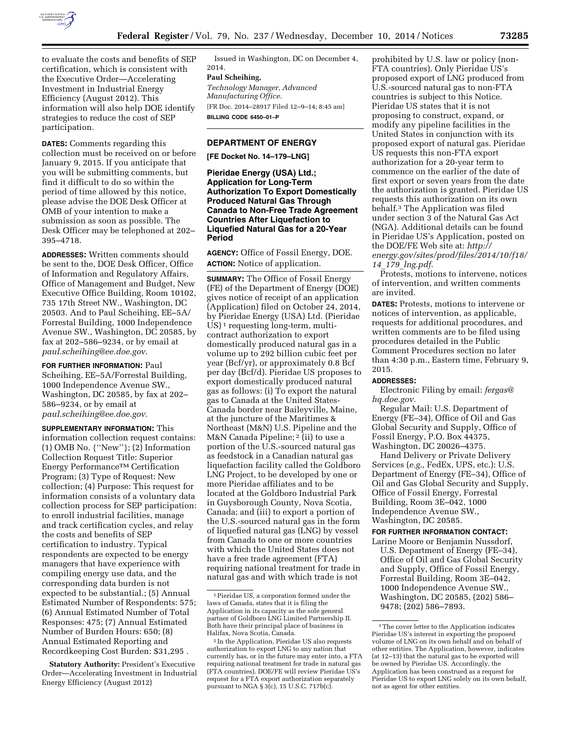

to evaluate the costs and benefits of SEP certification, which is consistent with the Executive Order—Accelerating Investment in Industrial Energy Efficiency (August 2012). This information will also help DOE identify strategies to reduce the cost of SEP participation.

**DATES:** Comments regarding this collection must be received on or before January 9, 2015. If you anticipate that you will be submitting comments, but find it difficult to do so within the period of time allowed by this notice, please advise the DOE Desk Officer at OMB of your intention to make a submission as soon as possible. The Desk Officer may be telephoned at 202– 395–4718.

**ADDRESSES:** Written comments should be sent to the, DOE Desk Officer, Office of Information and Regulatory Affairs, Office of Management and Budget, New Executive Office Building, Room 10102, 735 17th Street NW., Washington, DC 20503. And to Paul Scheihing, EE–5A/ Forrestal Building, 1000 Independence Avenue SW., Washington, DC 20585, by fax at 202–586–9234, or by email at *[paul.scheihing@ee.doe.gov](mailto:paul.scheihing@ee.doe.gov)*.

**FOR FURTHER INFORMATION:** Paul Scheihing, EE–5A/Forrestal Building, 1000 Independence Avenue SW., Washington, DC 20585, by fax at 202– 586–9234, or by email at *[paul.scheihing@ee.doe.gov](mailto:paul.scheihing@ee.doe.gov)*.

**SUPPLEMENTARY INFORMATION:** This information collection request contains: (1) OMB No. {''New''}; (2) Information Collection Request Title: Superior Energy PerformanceTM Certification Program; (3) Type of Request: New collection; (4) Purpose: This request for information consists of a voluntary data collection process for SEP participation: to enroll industrial facilities, manage and track certification cycles, and relay the costs and benefits of SEP certification to industry. Typical respondents are expected to be energy managers that have experience with compiling energy use data, and the corresponding data burden is not expected to be substantial.; (5) Annual Estimated Number of Respondents: 575; (6) Annual Estimated Number of Total Responses: 475; (7) Annual Estimated Number of Burden Hours: 650; (8) Annual Estimated Reporting and Recordkeeping Cost Burden: \$31,295 .

**Statutory Authority:** President's Executive Order—Accelerating Investment in Industrial Energy Efficiency (August 2012)

Issued in Washington, DC on December 4, 2014.

### **Paul Scheihing,**

*Technology Manager, Advanced Manufacturing Office.*  [FR Doc. 2014–28917 Filed 12–9–14; 8:45 am] **BILLING CODE 6450–01–P** 

# **DEPARTMENT OF ENERGY**

**[FE Docket No. 14–179–LNG]** 

**Pieridae Energy (USA) Ltd.; Application for Long-Term Authorization To Export Domestically Produced Natural Gas Through Canada to Non-Free Trade Agreement Countries After Liquefaction to Liquefied Natural Gas for a 20-Year Period** 

**AGENCY:** Office of Fossil Energy, DOE. **ACTION:** Notice of application.

**SUMMARY:** The Office of Fossil Energy (FE) of the Department of Energy (DOE) gives notice of receipt of an application (Application) filed on October 24, 2014, by Pieridae Energy (USA) Ltd. (Pieridae US)<sup>1</sup> requesting long-term, multicontract authorization to export domestically produced natural gas in a volume up to 292 billion cubic feet per year (Bcf/yr), or approximately 0.8 Bcf per day (Bcf/d). Pieridae US proposes to export domestically produced natural gas as follows: (i) To export the natural gas to Canada at the United States-Canada border near Baileyville, Maine, at the juncture of the Maritimes & Northeast (M&N) U.S. Pipeline and the M&N Canada Pipeline; 2 (ii) to use a portion of the U.S.-sourced natural gas as feedstock in a Canadian natural gas liquefaction facility called the Goldboro LNG Project, to be developed by one or more Pieridae affiliates and to be located at the Goldboro Industrial Park in Guysborough County, Nova Scotia, Canada; and (iii) to export a portion of the U.S.-sourced natural gas in the form of liquefied natural gas (LNG) by vessel from Canada to one or more countries with which the United States does not have a free trade agreement (FTA) requiring national treatment for trade in natural gas and with which trade is not

prohibited by U.S. law or policy (non-FTA countries). Only Pieridae US's proposed export of LNG produced from U.S.-sourced natural gas to non-FTA countries is subject to this Notice. Pieridae US states that it is not proposing to construct, expand, or modify any pipeline facilities in the United States in conjunction with its proposed export of natural gas. Pieridae US requests this non-FTA export authorization for a 20-year term to commence on the earlier of the date of first export or seven years from the date the authorization is granted. Pieridae US requests this authorization on its own behalf.3 The Application was filed under section 3 of the Natural Gas Act (NGA). Additional details can be found in Pieridae US's Application, posted on the DOE/FE Web site at: *[http://](http://energy.gov/sites/prod/files/2014/10/f18/14_179_lng.pdf) [energy.gov/sites/prod/files/2014/10/f18/](http://energy.gov/sites/prod/files/2014/10/f18/14_179_lng.pdf) 14*\_*179*\_*[lng.pdf.](http://energy.gov/sites/prod/files/2014/10/f18/14_179_lng.pdf)* 

Protests, motions to intervene, notices of intervention, and written comments are invited.

**DATES:** Protests, motions to intervene or notices of intervention, as applicable, requests for additional procedures, and written comments are to be filed using procedures detailed in the Public Comment Procedures section no later than 4:30 p.m., Eastern time, February 9, 2015.

#### **ADDRESSES:**

Electronic Filing by email: *[fergas@](mailto:fergas@hq.doe.gov) [hq.doe.gov.](mailto:fergas@hq.doe.gov)* 

Regular Mail: U.S. Department of Energy (FE–34), Office of Oil and Gas Global Security and Supply, Office of Fossil Energy, P.O. Box 44375, Washington, DC 20026–4375.

Hand Delivery or Private Delivery Services (*e.g.,* FedEx, UPS, etc.): U.S. Department of Energy (FE–34), Office of Oil and Gas Global Security and Supply, Office of Fossil Energy, Forrestal Building, Room 3E–042, 1000 Independence Avenue SW., Washington, DC 20585.

## **FOR FURTHER INFORMATION CONTACT:**

Larine Moore or Benjamin Nussdorf, U.S. Department of Energy (FE–34), Office of Oil and Gas Global Security and Supply, Office of Fossil Energy, Forrestal Building, Room 3E–042, 1000 Independence Avenue SW., Washington, DC 20585, (202) 586– 9478; (202) 586–7893.

<sup>1</sup>Pieridae US, a corporation formed under the laws of Canada, states that it is filing the Application in its capacity as the sole general partner of Goldboro LNG Limited Partnership II. Both have their principal place of business in Halifax, Nova Scotia, Canada.

<sup>2</sup> In the Application, Pieridae US also requests authorization to export LNG to any nation that currently has, or in the future may enter into, a FTA requiring national treatment for trade in natural gas (FTA countries). DOE/FE will review Pieridae US's request for a FTA export authorization separately pursuant to NGA § 3(c), 15 U.S.C. 717b(c).

<sup>3</sup>The cover letter to the Application indicates Pieridae US's interest in exporting the proposed volume of LNG on its own behalf and on behalf of other entities. The Application, however, indicates (at 12–13) that the natural gas to be exported will be owned by Pieridae US. Accordingly, the Application has been construed as a request for Pieridae US to export LNG solely on its own behalf, not as agent for other entities.